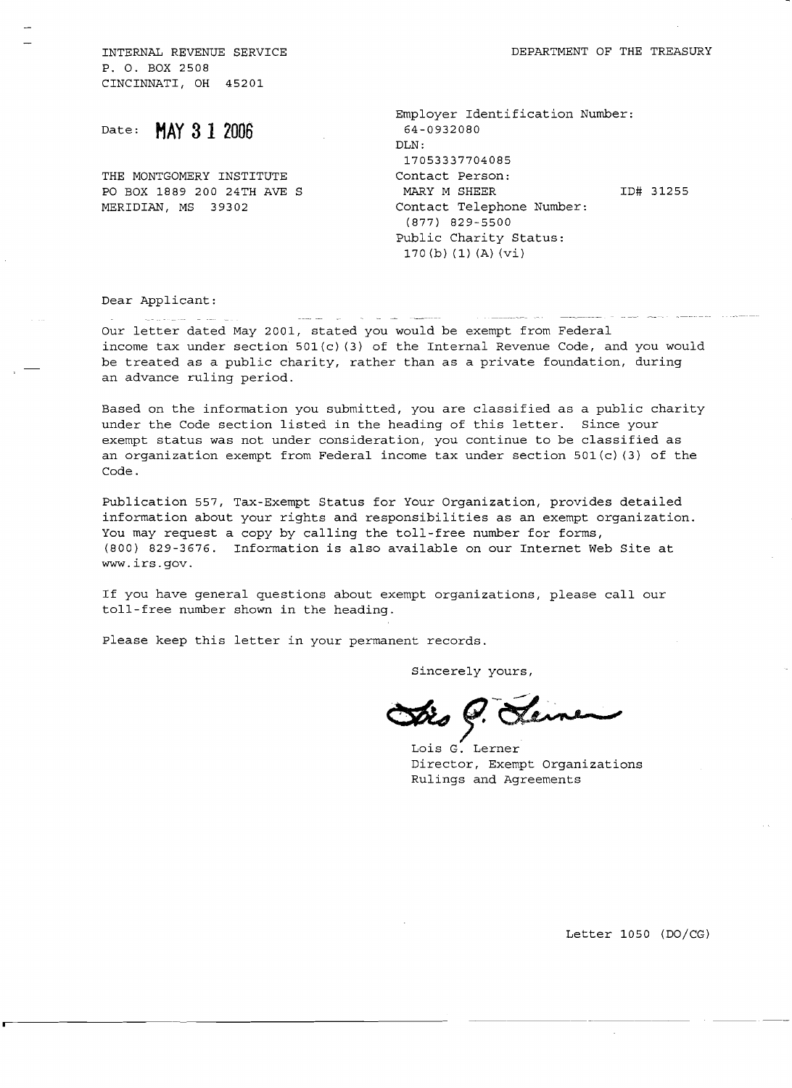P. O. BOX 2508 CINCINNATI, OH 45201

Date: **MAY 3 1 2006** 

THE MONTGOMERY INSTITUTE Contact Person: MERIDIAN, MS 39302 Contact Telephone Number:

Employer Identification Number: 64-0932080 DLN: 17053337704085 PO BOX 1889 200 24TH AVE S MARY M SHEER ID# 31255 (877) 829-5500 Public Charity Status: 170 (b) (1) (A) (vi)

Dear Applicant:

Our letter dated May 2001, stated *you* would be exempt from Federal income tax under section 501(c) (3) of the Internal Revenue Code, and you would be treated as a public charity, rather than as a private foundation, during an advance ruling period.

Based on the information *you* submitted, you are classified as a public charity under the Code section listed in the heading of this letter. Since your exempt status was not under consideration, you continue to be classified as an organization exempt from Federal income tax under section 501(c) (3) of the Code.

Publication 557, Tax-Exempt Status for Your Organization, provides detailed information about your rights and responsibilities as an exempt organization. You may request a copy by calling the toll-free number for forms, (800) 829-3676. Information is also available on our Internet Web Site at www.irs.gov.

If *you* have general questions about exempt organizations, please call our toll-free number shown in the heading.

Please keep this letter in your permanent records.

Sincerely yours,

Sincerely yours, Dis G. Lemen

Director, Exempt Organizations Rulings and Agreements

Letter 1050 *(DOjCG)*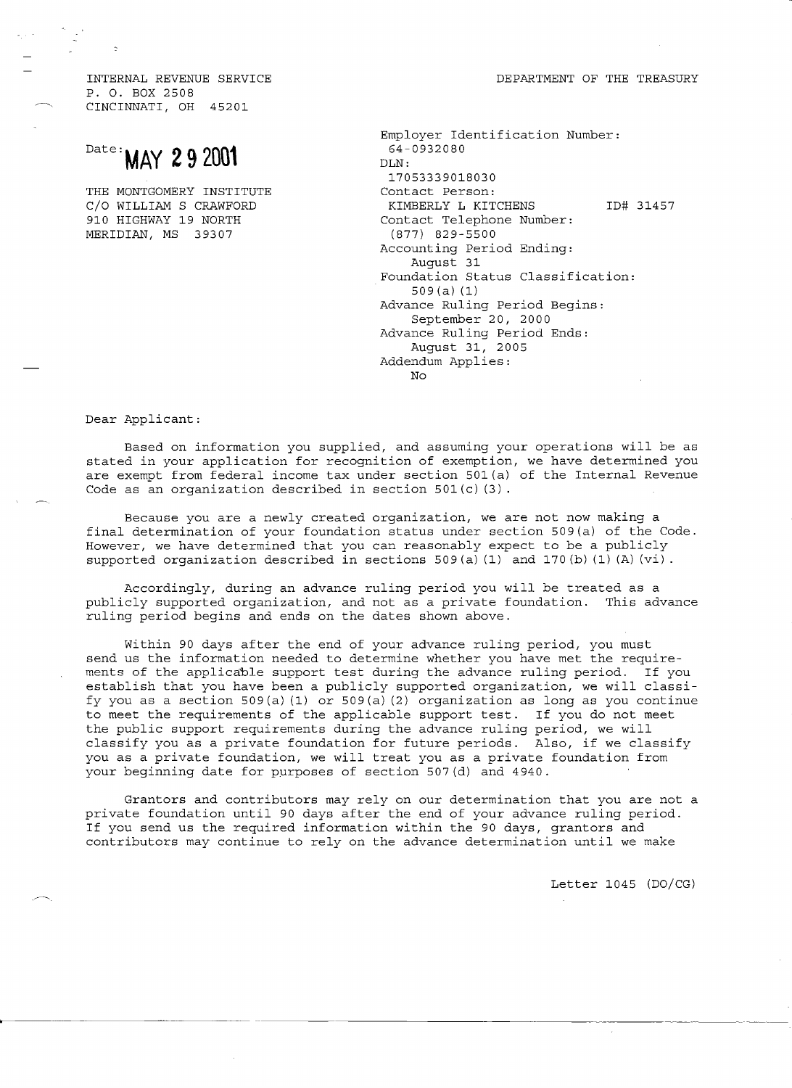P. O. BOX 2508 CINCINNATI, OH 45201

## Date: **MAY 29 2001**

THE MONTGOMERY INSTITUTE C/O WILLIAM S CRAWFORD 910 HIGHWAY 19 NORTH MERIDIAN, MS 39307

| Employer Identification Number:<br>64-0932080 |
|-----------------------------------------------|
| DIN:                                          |
| 17053339018030                                |
| Contact Person:                               |
| ID# 31457<br>KIMBERLY L KITCHENS              |
| Contact Telephone Number:                     |
| (877) 829-5500                                |
| Accounting Period Ending:                     |
| Auqust 31                                     |
| Foundation Status Classification:             |
| 509(a)(1)                                     |
| Advance Ruling Period Begins:                 |
| September 20, 2000                            |
| Advance Ruling Period Ends:                   |
| August 31, 2005                               |
| Addendum Applies:                             |
| N∩                                            |

Dear Applicant:

Based on information you supplied, and assuming your operations will be as stated in your application for recognition of exemption, we have determined you are exempt from federal income tax under section 501(a) of the Internal Revenue Code as an organization described in section 501(c) (3).

Because you are a newly created organization, we are not now making a final determination of your foundation status under section 509(a) of the Code. However, we have determined that you can reasonably expect to be a publicly supported organization described in sections 509(a) (1) and 170(b) (1) (A) (vi).

Accordingly, during an advance ruling period you will be treated as a publicly supported organization, and not as a private foundation. This advance ruling period begins and ends on the dates shown above.

Within 90 days after the end of your advance ruling period, you must send us the information needed to determine whether you have met the requirements of the applicable support test during the advance ruling period. If you establish that you have been a publicly supported organization, we will classify you as a section 509(a) (1) or 509(a) (2) organization as long as you continue to meet the requirements of the applicable support test. If you do not meet the public support requirements during the advance ruling period, we will classify you as a private foundation for future periods. Also, if we classify you as a private foundation, we will treat you as a private foundation from your beginning date for purposes of section 507(d) and 4940.

Grantors and contributors may rely on our determination that you are not a private foundation until 90 days after the end of your advance ruling period. If you send us the required information within the 90 days, grantors and contributors may continue to rely on the advance determination until we make

Letter 1045 (DO/CG)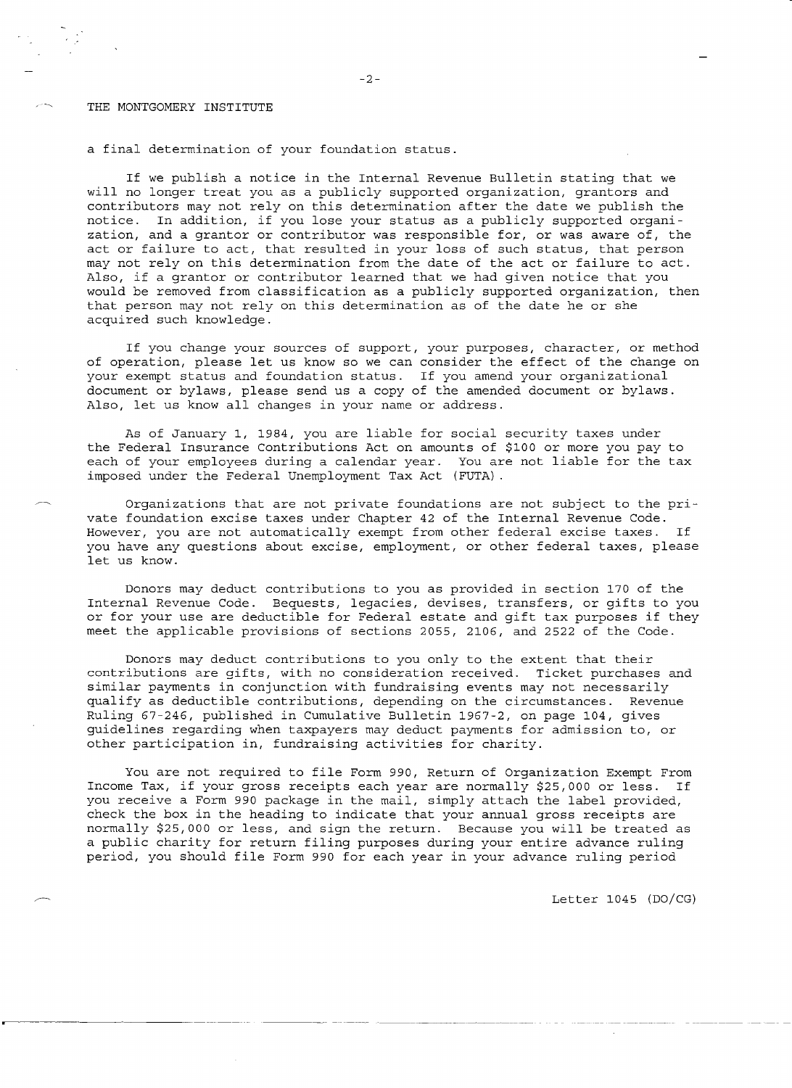## THE MONTGOMERY INSTITUTE

a final determination of your foundation status.

If we publish a notice in the Internal Revenue Bulletin stating that we will no longer treat you as a publicly supported organization, grantors and contributors may not rely on this determination after the date we publish the notice. In addition, if you lose your status as a publicly supported organization, and a grantor or contributor was responsible for, or was aware of, the act or failure to act, that resulted in your loss of such status, that person may not rely on this determination from the date of the act or failure to act. Also, if a grantor or contributor learned that we had given notice that you would be removed from classification as a publicly supported organization, then that person may not rely on this determination as of the date he or she acquired such knowledge.

If you change your sources of support, your purposes, character, or method of operation, please let us know so we can consider the effect of the change on your exempt status and foundation status. If you amend your organizational document or bylaws/ please send us a copy of the amended document or bylaws. Also, let us know all changes in your name or address.

As of January 1, 1984, you are liable for social security taxes under the Federal Insurance Contributions Act on amounts of \$100 or more you pay to each of your employees during a calendar year. You are not liable for the tax imposed under the Federal Unemployment Tax Act (FUTA).

Organizations that are not private foundations are not subject to the private foundation excise taxes under Chapter 42 of the Internal Revenue Code. However, you are not automatically exempt from other federal excise taxes. If you have any questions about excise, employment, or other federal taxes, please let us know.

Donors may deduct contributions to you as provided in section 170 of the Internal Revenue Code. Bequests, legacies, devises, transfers, or gifts to you or for your use are deductible for Federal estate and gift tax purposes if they meet the applicable provisions of sections 2055/ 2106/ and 2522 of the Code.

Donors may deduct contributions to you only to the extent that their contributions are gifts, with no consideration received. Ticket purchases and similar payments in conjunction with fundraising events may not necessarily qualify as deductible contributions/ depending on the circumstances. Revenue Ruling 67-246/ published in Cumulative Bulletin 1967-2, on page 104/ gives guidelines regarding when taxpayers may deduct payments for admission to, or other participation in, fundraising activities for charity.

You are not required to file Form 990, Return of Organization Exempt From Income Tax, if your gross receipts each year are normally \$25,000 or less. If you receive a Form 990 package in the mail, simply attach the label provided, check the box in the heading to indicate that your annual gross receipts are normally \$25,000 or less, and sign the return. Because you will be treated as a public charity for return filing purposes during your entire advance ruling period, you should file Form 990 for each year in your advance ruling period

Letter 1045 (DO/CG)

 $-2-$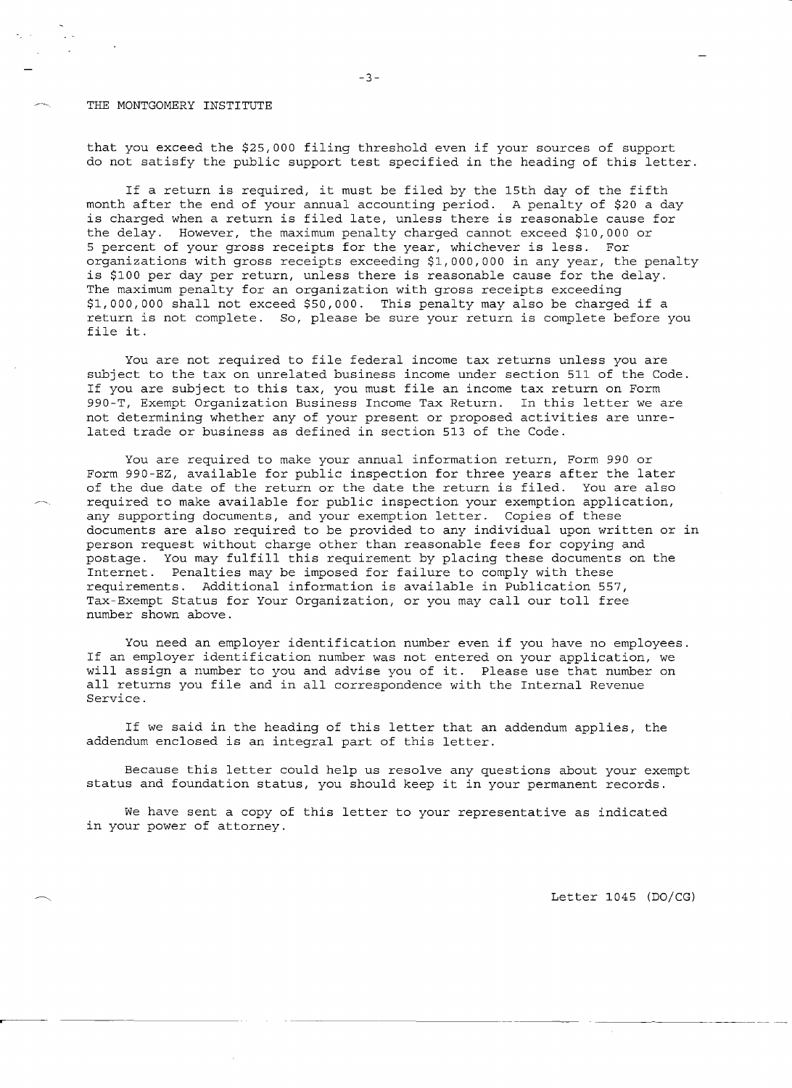## THE MONTGOMERY INSTITUTE

that you exceed the \$25,000 filing threshold even if your sources of support do not satisfy the public support test specified in the heading of this letter.

If a return is required, it must be filed by the 15th day of the fifth month after the end of your annual accounting period. A penalty of \$20 a day is charged when a return is filed late, unless there is reasonable cause for the delay. However, the maximum penalty charged cannot exceed \$10,000 or 5 percent of your gross receipts for the year, whichever is less. For organizations with gross receipts exceeding \$1,000,000 in any year, the penalty is \$100 per day per return, unless there is reasonable cause for the delay. The maximum penalty for an organization with gross receipts exceeding \$1,000,000 shall not exceed \$50,000. This penalty may also be charged if a return is not complete. So, please be sure your return is complete before you file it.

You are not required to file federal income tax returns unless you are subject to the tax on unrelated business income under section 511 of the Code. If you are subject to this tax, you must file an income tax return on Form 990-T, Exempt Organization Business Income Tax Return. In this letter we are not determining whether any of your present or proposed activities are unrelated trade or business as defined in section 513 of the Code.

You are required to make your annual information return, Form 990 or Form 990-EZ, available for public inspection for three years after the later of the due date of the return or the date the return is filed. You are also required to make available for public inspection your exemption application, any supporting documents, and your exemption letter. Copies of these documents are also required to be provided to any individual upon written or in person request without charge other than reasonable fees for copying and postage. You may fulfill this requirement by placing these documents on the Internet. Penalties may be imposed for failure to comply with these requirements. Additional information is available in Publication 557, Tax-Exempt Status for Your Organization, or you may call our toll free number shown above.

You need an employer identification number even if you have no employees. If an employer identification number was not entered on your application, we will assign a number to you and advise you of it. Please use that number on all returns you file and in all correspondence with the Internal Revenue Service.

If we said in the heading of this letter that an addendum applies, the addendum enclosed is an integral part of this letter.

Because this letter could help us resolve any questions about your exempt status and foundation status, you should keep it in your permanent records.

We have sent a copy of this letter to your representative as indicated in your power of attorney.

Letter 1045 (DO/CG)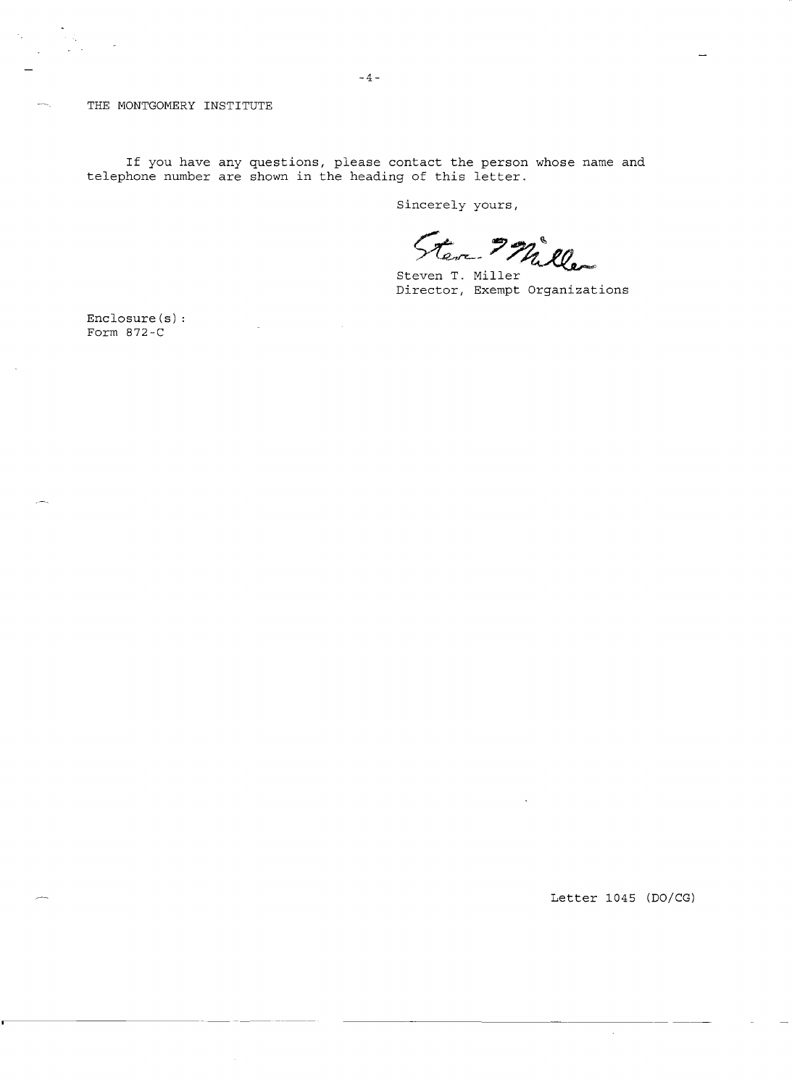THE MONTGOMERY INSTITUTE

**If** you have any questions, please contact the person whose name and telephone number are shown in the heading of this letter.

Sincerely yours,

Steven Miller

Steven T. Miller Director, Exempt Organizations

Enclosure(s) Form 872-C

Letter 1045 (DO/CG)

 $\sim$